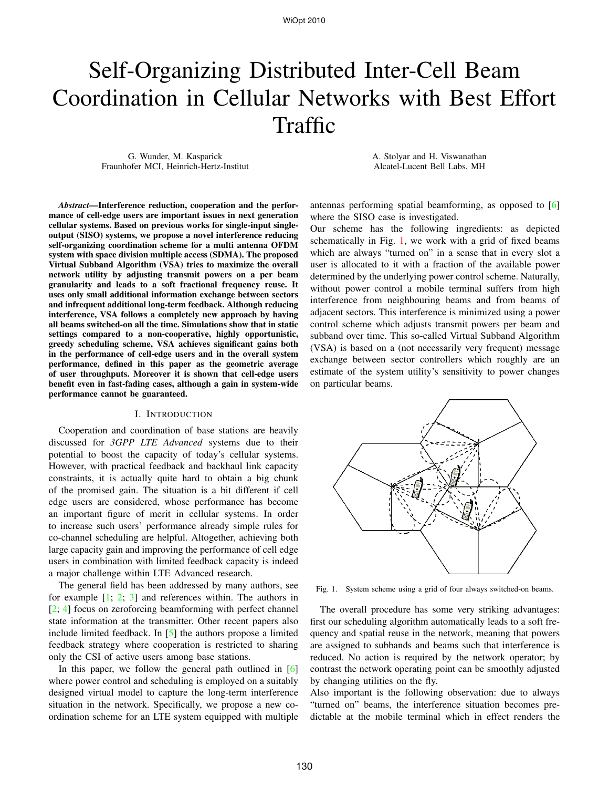# Self-Organizing Distributed Inter-Cell Beam Coordination in Cellular Networks with Best Effort Traffic

G. Wunder, M. Kasparick Fraunhofer MCI, Heinrich-Hertz-Institut A. Stolyar and H. Viswanathan Alcatel-Lucent Bell Labs, MH

*Abstract***—Interference reduction, cooperation and the performance of cell-edge users are important issues in next generation cellular systems. Based on previous works for single-input singleoutput (SISO) systems, we propose a novel interference reducing self-organizing coordination scheme for a multi antenna OFDM system with space division multiple access (SDMA). The proposed Virtual Subband Algorithm (VSA) tries to maximize the overall network utility by adjusting transmit powers on a per beam granularity and leads to a soft fractional frequency reuse. It uses only small additional information exchange between sectors and infrequent additional long-term feedback. Although reducing interference, VSA follows a completely new approach by having all beams switched-on all the time. Simulations show that in static settings compared to a non-cooperative, highly opportunistic, greedy scheduling scheme, VSA achieves significant gains both in the performance of cell-edge users and in the overall system performance, defined in this paper as the geometric average of user throughputs. Moreover it is shown that cell-edge users benefit even in fast-fading cases, although a gain in system-wide performance cannot be guaranteed.**

#### I. INTRODUCTION

Cooperation and coordination of base stations are heavily discussed for *3GPP LTE Advanced* systems due to their potential to boost the capacity of today's cellular systems. However, with practical feedback and backhaul link capacity constraints, it is actually quite hard to obtain a big chunk of the promised gain. The situation is a bit different if cell edge users are considered, whose performance has become an important figure of merit in cellular systems. In order to increase such users' performance already simple rules for co-channel scheduling are helpful. Altogether, achieving both large capacity gain and improving the performance of cell edge users in combination with limited feedback capacity is indeed a major challenge within LTE Advanced research.

The general field has been addressed by many authors, see for example  $[1; 2; 3]$  and references within. The authors in [2; 4] focus on zeroforcing beamforming with perfect channel state information at the transmitter. Other recent papers also include limited feedback. In [5] the authors propose a limited feedback strategy where cooperation is restricted to sharing only the CSI of active users among base stations.

In this paper, we follow the general path outlined in [6] where power control and scheduling is employed on a suitably designed virtual model to capture the long-term interference situation in the network. Specifically, we propose a new coordination scheme for an LTE system equipped with multiple antennas performing spatial beamforming, as opposed to [6] where the SISO case is investigated.

Our scheme has the following ingredients: as depicted schematically in Fig. 1, we work with a grid of fixed beams which are always "turned on" in a sense that in every slot a user is allocated to it with a fraction of the available power determined by the underlying power control scheme. Naturally, without power control a mobile terminal suffers from high interference from neighbouring beams and from beams of adjacent sectors. This interference is minimized using a power control scheme which adjusts transmit powers per beam and subband over time. This so-called Virtual Subband Algorithm (VSA) is based on a (not necessarily very frequent) message exchange between sector controllers which roughly are an estimate of the system utility's sensitivity to power changes on particular beams.



Fig. 1. System scheme using a grid of four always switched-on beams.

The overall procedure has some very striking advantages: first our scheduling algorithm automatically leads to a soft frequency and spatial reuse in the network, meaning that powers are assigned to subbands and beams such that interference is reduced. No action is required by the network operator; by contrast the network operating point can be smoothly adjusted by changing utilities on the fly.

Also important is the following observation: due to always "turned on" beams, the interference situation becomes predictable at the mobile terminal which in effect renders the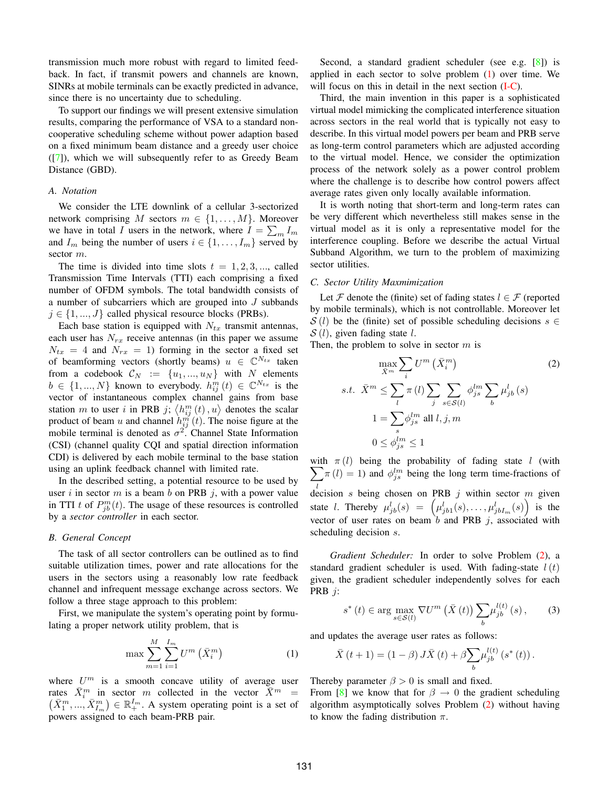transmission much more robust with regard to limited feedback. In fact, if transmit powers and channels are known, SINRs at mobile terminals can be exactly predicted in advance, since there is no uncertainty due to scheduling.

To support our findings we will present extensive simulation results, comparing the performance of VSA to a standard noncooperative scheduling scheme without power adaption based on a fixed minimum beam distance and a greedy user choice ([7]), which we will subsequently refer to as Greedy Beam Distance (GBD).

### *A. Notation*

We consider the LTE downlink of a cellular 3-sectorized network comprising M sectors  $m \in \{1, \ldots, M\}$ . Moreover we have in total I users in the network, where  $I = \sum_m I_m$ and  $I_m$  being the number of users  $i \in \{1, \ldots, I_m\}$  served by sector m.

The time is divided into time slots  $t = 1, 2, 3, \dots$ , called Transmission Time Intervals (TTI) each comprising a fixed number of OFDM symbols. The total bandwidth consists of a number of subcarriers which are grouped into J subbands  $j \in \{1, ..., J\}$  called physical resource blocks (PRBs).

Each base station is equipped with  $N_{tx}$  transmit antennas, each user has  $N_{rx}$  receive antennas (in this paper we assume  $N_{tx} = 4$  and  $N_{rx} = 1$ ) forming in the sector a fixed set of beamforming vectors (shortly beams)  $u \in \mathbb{C}^{N_{tx}}$  taken from a codebook  $C_N := \{u_1, ..., u_N\}$  with N elements  $b \in \{1, ..., N\}$  known to everybody.  $h_{ij}^m(t) \in \mathbb{C}^{N_{tx}}$  is the vector of instantaneous complex channel gains from base station m to user i in PRB j;  $\langle h_{ij}^m(t), u \rangle$  denotes the scalar product of beam u and channel  $h_{ij}^{m'}(t)$ . The noise figure at the mobile terminal is denoted as  $\sigma^2$ . Channel State Information (CSI) (channel quality CQI and spatial direction information CDI) is delivered by each mobile terminal to the base station using an uplink feedback channel with limited rate.

In the described setting, a potential resource to be used by user i in sector m is a beam b on PRB j, with a power value in TTI t of  $P_{jb}^m(t)$ . The usage of these resources is controlled by a *sector controller* in each sector.

#### *B. General Concept*

The task of all sector controllers can be outlined as to find suitable utilization times, power and rate allocations for the users in the sectors using a reasonably low rate feedback channel and infrequent message exchange across sectors. We follow a three stage approach to this problem:

First, we manipulate the system's operating point by formulating a proper network utility problem, that is

$$
\max \sum_{m=1}^{M} \sum_{i=1}^{I_m} U^m\left(\bar{X}_i^m\right) \tag{1}
$$

where  $U^m$  is a smooth concave utility of average user rates  $\bar{X}_i^m$  in sector m collected in the vector  $\bar{X}_i^m = (\bar{X}_1^m, ..., \bar{X}_{L_n}^m) \in \mathbb{R}_+^{I_n}$ . A system operating point is a set of  $\bar{X}_1^m, ..., \bar{X}_{I_m}^m$   $\in \mathbb{R}_+^{I_m}$ . A system operating point is a set of powers assigned to each beam-PRB pair.

Second, a standard gradient scheduler (see e.g. [8]) is applied in each sector to solve problem (1) over time. We will focus on this in detail in the next section (I-C).

Third, the main invention in this paper is a sophisticated virtual model mimicking the complicated interference situation across sectors in the real world that is typically not easy to describe. In this virtual model powers per beam and PRB serve as long-term control parameters which are adjusted according to the virtual model. Hence, we consider the optimization process of the network solely as a power control problem where the challenge is to describe how control powers affect average rates given only locally available information.

It is worth noting that short-term and long-term rates can be very different which nevertheless still makes sense in the virtual model as it is only a representative model for the interference coupling. Before we describe the actual Virtual Subband Algorithm, we turn to the problem of maximizing sector utilities.

#### *C. Sector Utility Maxmimization*

Let F denote the (finite) set of fading states  $l \in \mathcal{F}$  (reported by mobile terminals), which is not controllable. Moreover let  $S(l)$  be the (finite) set of possible scheduling decisions  $s \in$  $S(l)$ , given fading state l.

Then, the problem to solve in sector  $m$  is

$$
\max_{\bar{X}^m} \sum_i U^m (\bar{X}_i^m)
$$
\n
$$
s.t. \ \ \bar{X}^m \le \sum_l \pi(l) \sum_j \sum_{s \in S(l)} \phi_{js}^{lm} \sum_b \mu_{jb}^l (s)
$$
\n
$$
1 = \sum_s \phi_{js}^{lm} \text{ all } l, j, m
$$
\n
$$
0 \le \phi_{js}^{lm} \le 1
$$
\n
$$
(2)
$$

with  $\pi(l)$  being the probability of fading state l (with  $\sum \pi(l) = 1$ ) and  $\phi_{lm}^{lm}$  being the long term time-fractions of  $\det$  decision s being chosen on PRB j within sector m given  $\pi(l) = 1$ ) and  $\phi_{js}^{lm}$  being the long term time-fractions of state *l*. Thereby  $\mu_{jb}^l(s) = (\mu_{jb1}^l(s), \ldots, \mu_{jbI_m}^l(s))$  is the vector of user rates on beam  $\overline{b}$  and PRB j, associated with scheduling decision s.

*Gradient Scheduler:* In order to solve Problem (2), a standard gradient scheduler is used. With fading-state  $l(t)$ given, the gradient scheduler independently solves for each PRB j:

$$
s^*(t) \in \arg\max_{s \in \mathcal{S}(l)} \nabla U^m\left(\bar{X}\left(t\right)\right) \sum_b \mu_{jb}^{l(t)}\left(s\right),\tag{3}
$$

and updates the average user rates as follows:

$$
\bar{X}(t+1) = (1 - \beta) J\bar{X}(t) + \beta \sum_{b} \mu_{jb}^{l(t)} (s^*(t)).
$$

Thereby parameter  $\beta > 0$  is small and fixed.

From [8] we know that for  $\beta \to 0$  the gradient scheduling algorithm asymptotically solves Problem (2) without having to know the fading distribution  $\pi$ .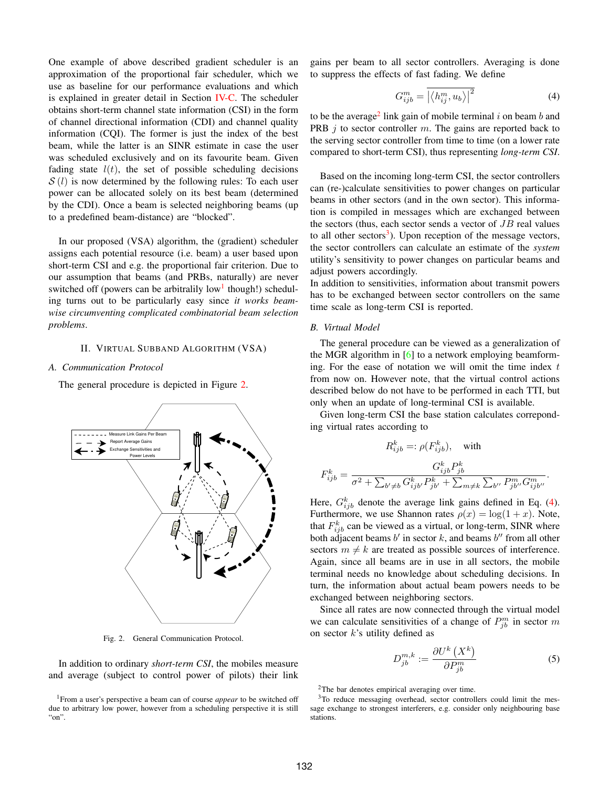One example of above described gradient scheduler is an approximation of the proportional fair scheduler, which we use as baseline for our performance evaluations and which is explained in greater detail in Section IV-C. The scheduler obtains short-term channel state information (CSI) in the form of channel directional information (CDI) and channel quality information (CQI). The former is just the index of the best beam, while the latter is an SINR estimate in case the user was scheduled exclusively and on its favourite beam. Given fading state  $l(t)$ , the set of possible scheduling decisions  $S(l)$  is now determined by the following rules: To each user power can be allocated solely on its best beam (determined by the CDI). Once a beam is selected neighboring beams (up to a predefined beam-distance) are "blocked".

In our proposed (VSA) algorithm, the (gradient) scheduler assigns each potential resource (i.e. beam) a user based upon short-term CSI and e.g. the proportional fair criterion. Due to our assumption that beams (and PRBs, naturally) are never switched off (powers can be arbitralily low<sup>1</sup> though!) scheduling turns out to be particularly easy since *it works beamwise circumventing complicated combinatorial beam selection problems*.

## II. VIRTUAL SUBBAND ALGORITHM (VSA)

## *A. Communication Protocol*

The general procedure is depicted in Figure 2.



Fig. 2. General Communication Protocol.

In addition to ordinary *short-term CSI*, the mobiles measure and average (subject to control power of pilots) their link

gains per beam to all sector controllers. Averaging is done to suppress the effects of fast fading. We define

$$
G_{ijb}^{m} = \overline{\left| \left\langle h_{ij}^{m}, u_{b} \right\rangle \right|^{2}} \tag{4}
$$

to be the average<sup>2</sup> link gain of mobile terminal i on beam b and PRB  $\dot{\jmath}$  to sector controller m. The gains are reported back to the serving sector controller from time to time (on a lower rate compared to short-term CSI), thus representing *long-term CSI*.

Based on the incoming long-term CSI, the sector controllers can (re-)calculate sensitivities to power changes on particular beams in other sectors (and in the own sector). This information is compiled in messages which are exchanged between the sectors (thus, each sector sends a vector of  $JB$  real values to all other sectors<sup>3</sup>). Upon reception of the message vectors, the sector controllers can calculate an estimate of the *system* utility's sensitivity to power changes on particular beams and adjust powers accordingly.

In addition to sensitivities, information about transmit powers has to be exchanged between sector controllers on the same time scale as long-term CSI is reported.

# *B. Virtual Model*

The general procedure can be viewed as a generalization of the MGR algorithm in [6] to a network employing beamforming. For the ease of notation we will omit the time index  $t$ from now on. However note, that the virtual control actions described below do not have to be performed in each TTI, but only when an update of long-terminal CSI is available.

Given long-term CSI the base station calculates correponding virtual rates according to

$$
R_{ijb}^k =: \rho(F_{ijb}^k), \quad \text{with}
$$
  

$$
F_{ijb}^k = \frac{G_{ijb}^k P_{jb}^k}{\sigma^2 + \sum_{b' \neq b} G_{ijb'}^k P_{jb'}^k + \sum_{m \neq k} \sum_{b''} P_{jb''}^m G_{ijb''}^m}.
$$

Here,  $G_{ijb}^k$  denote the average link gains defined in Eq. (4). Furthermore, we use Shannon rates  $\rho(x) = \log(1+x)$ . Note, that  $F_{ijb}^k$  can be viewed as a virtual, or long-term, SINR where both adjacent beams  $b'$  in sector k, and beams  $b''$  from all other sectors  $m \neq k$  are treated as possible sources of interference. Again, since all beams are in use in all sectors, the mobile terminal needs no knowledge about scheduling decisions. In turn, the information about actual beam powers needs to be exchanged between neighboring sectors.

Since all rates are now connected through the virtual model we can calculate sensitivities of a change of  $P_{jb}^m$  in sector m on sector  $k$ 's utility defined as

$$
D_{jb}^{m,k} := \frac{\partial U^k\left(X^k\right)}{\partial P_{jb}^m} \tag{5}
$$

2The bar denotes empirical averaging over time.

3To reduce messaging overhead, sector controllers could limit the message exchange to strongest interferers, e.g. consider only neighbouring base stations.

<sup>1</sup>From a user's perspective a beam can of course *appear* to be switched off due to arbitrary low power, however from a scheduling perspective it is still "on".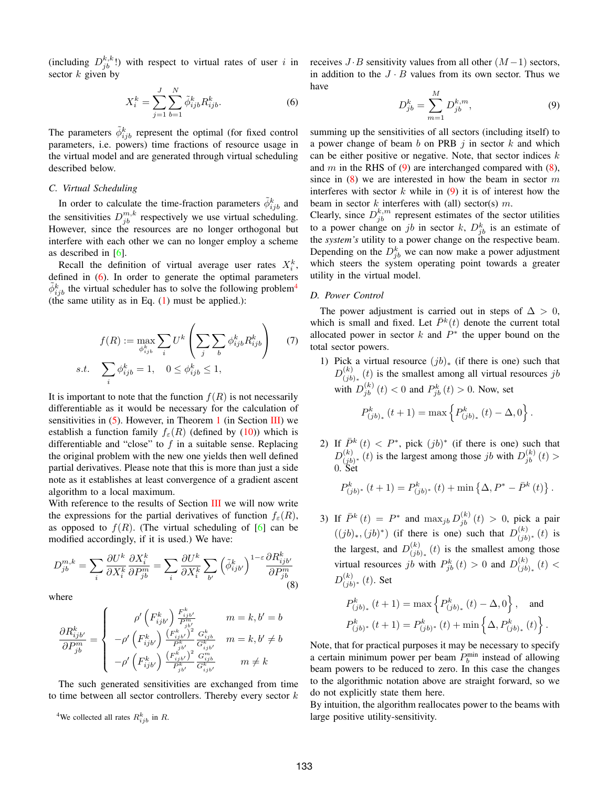(including  $D_{jb}^{k,k}$ !) with respect to virtual rates of user i in sector  $k$  given by

$$
X_i^k = \sum_{j=1}^J \sum_{b=1}^N \tilde{\phi}_{ijb}^k R_{ijb}^k.
$$
 (6)

The parameters  $\tilde{\phi}_{ijb}^k$  represent the optimal (for fixed control parameters, i.e. powers) time fractions of resource usage in the virtual model and are generated through virtual scheduling described below.

## *C. Virtual Scheduling*

In order to calculate the time-fraction parameters  $\tilde{\phi}_{ijb}^k$  and the sensitivities  $D_{jb}^{m,k}$  respectively we use virtual scheduling. However, since the resources are no longer orthogonal but interfere with each other we can no longer employ a scheme as described in [6].

Recall the definition of virtual average user rates  $X_i^k$ , defined in (6). In order to generate the optimal parameters  $\tilde{\phi}_{ijb}^k$  the virtual scheduler has to solve the following problem<sup>4</sup> (the same utility as in Eq.  $(1)$  must be applied.):

$$
f(R) := \max_{\phi_{ijb}^k} \sum_i U^k \left( \sum_j \sum_b \phi_{ijb}^k R_{ijb}^k \right) \qquad (7)
$$
  
s.t. 
$$
\sum_i \phi_{ijb}^k = 1, \quad 0 \le \phi_{ijb}^k \le 1,
$$

It is important to note that the function  $f(R)$  is not necessarily differentiable as it would be necessary for the calculation of sensitivities in  $(5)$ . However, in Theorem 1 (in Section III) we establish a function family  $f_{\varepsilon}(R)$  (defined by (10)) which is differentiable and "close" to  $f$  in a suitable sense. Replacing the original problem with the new one yields then well defined partial derivatives. Please note that this is more than just a side note as it establishes at least convergence of a gradient ascent algorithm to a local maximum.

With reference to the results of Section III we will now write the expressions for the partial derivatives of function  $f_{\varepsilon}(R)$ , as opposed to  $f(R)$ . (The virtual scheduling of [6] can be modified accordingly, if it is used.) We have:

$$
D_{jb}^{m,k} = \sum_{i} \frac{\partial U^k}{\partial X_i^k} \frac{\partial X_i^k}{\partial P_{jb}^m} = \sum_{i} \frac{\partial U^k}{\partial X_i^k} \sum_{b'} \left(\tilde{\phi}_{ijb'}^k\right)^{1-\varepsilon} \frac{\partial R_{ijb'}^k}{\partial P_{jb}^m}
$$
\n(8)

where

$$
\frac{\partial R_{ijb'}^k}{\partial P_{jb}^m} = \left\{ \begin{array}{cc} \rho' \left( F_{ijb'}^k \right) \frac{F_{ijb'}^k}{P_{jb'}^m} & m = k, b' = b\\ -\rho' \left( F_{ijb'}^k \right) \frac{\left( F_{ijb'}^k \right)^j}{P_{jb}^k} \frac{G_{ijb}^k}{G_{ijb'}^k} & m = k, b' \neq b\\ -\rho' \left( F_{ijb'}^k \right) \frac{\left( F_{ijb'}^k \right)^2}{P_{jb'}^k} \frac{G_{ijb}^m}{G_{ijb'}^k} & m \neq k \end{array} \right.
$$

The such generated sensitivities are exchanged from time to time between all sector controllers. Thereby every sector  $k$ 

<sup>4</sup>We collected all rates  $R_{ijb}^k$  in R.

receives  $J \cdot B$  sensitivity values from all other  $(M-1)$  sectors, in addition to the  $J \cdot B$  values from its own sector. Thus we have

$$
D_{jb}^{k} = \sum_{m=1}^{M} D_{jb}^{k,m},
$$
\n(9)

summing up the sensitivities of all sectors (including itself) to a power change of beam b on PRB  $j$  in sector k and which can be either positive or negative. Note, that sector indices  $k$ and m in the RHS of  $(9)$  are interchanged compared with  $(8)$ , since in  $(8)$  we are interested in how the beam in sector m interferes with sector  $k$  while in  $(9)$  it is of interest how the beam in sector  $k$  interferes with (all) sector(s)  $m$ .

Clearly, since  $D_{jb}^{k,m}$  represent estimates of the sector utilities to a power change on jb in sector k,  $D_{jb}^k$  is an estimate of the *system's* utility to a power change on the respective beam. Depending on the  $D_{jb}^k$  we can now make a power adjustment which steers the system operating point towards a greater utility in the virtual model.

# *D. Power Control*

The power adjustment is carried out in steps of  $\Delta > 0$ , which is small and fixed. Let  $\bar{P}^k(t)$  denote the current total allocated power in sector k and  $P^*$  the upper bound on the total sector powers.

- 1) Pick a virtual resource  $(jb)_*$  (if there is one) such that  $D_{(jb)_*}^{(k)}(t)$  is the smallest among all virtual resources jb with  $D_{jb}^{(k)}(t) < 0$  and  $P_{jb}^{k}(t) > 0$ . Now, set  $P_{(jb)_*}^k(t+1) = \max \{ P_{(jb)_*}^k(t) - \Delta, 0 \}.$
- 2) If  $\bar{P}^k(t) < P^*$ , pick  $(jb)^*$  (if there is one) such that  $D_{(jb)*}^{(k)}(t)$  is the largest among those jb with  $D_{jb}^{(k)}(t)$  > 0. Set

$$
P_{(jb)^*}^k(t+1) = P_{(jb)^*}^k(t) + \min \left\{ \Delta, P^* - \bar{P}^k(t) \right\}.
$$

3) If  $\bar{P}^k(t) = P^*$  and  $\max_{jb} D_{jb}^{(k)}(t) > 0$ , pick a pair  $((jb)_{*}, (jb)^{*})$  (if there is one) such that  $D^{(k)}_{(jb)^{*}}(t)$  is the largest, and  $D_{(jb)_*}^{(k)}(t)$  is the smallest among those virtual resources jb with  $P_{jb}^k(t) > 0$  and  $D_{(jb)_*}^{(k)}(t) <$  $D^{(k)}_{(jb)^*}$  (t). Set

$$
P_{(jb)_*}^k(t+1) = \max\left\{P_{(jb)_*}^k(t) - \Delta, 0\right\}, \text{ and}
$$

$$
P_{(jb)^*}^k(t+1) = P_{(jb)^*}^k(t) + \min\left\{\Delta, P_{(jb)_*}^k(t)\right\}.
$$

Note, that for practical purposes it may be necessary to specify a certain minimum power per beam  $P_b^{\text{min}}$  instead of allowing beam powers to be reduced to zero. In this case the changes to the algorithmic notation above are straight forward, so we do not explicitly state them here.

By intuition, the algorithm reallocates power to the beams with large positive utility-sensitivity.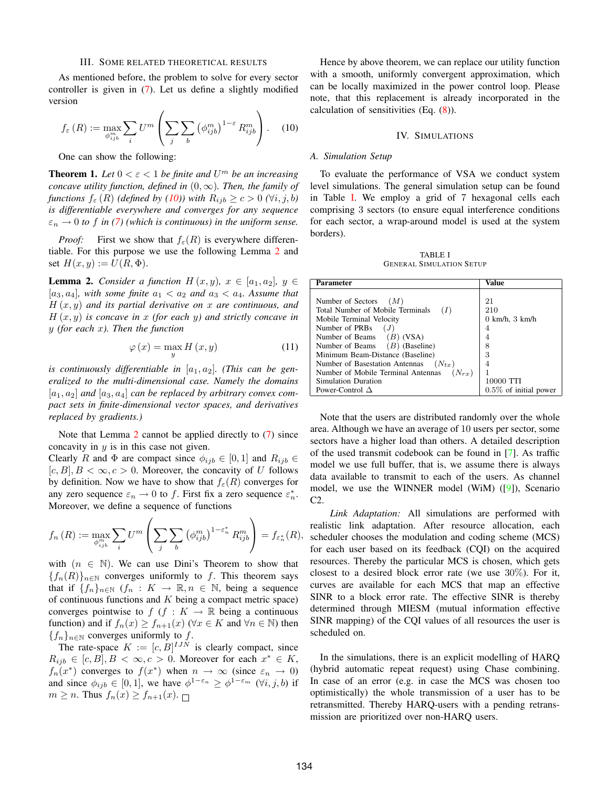#### III. SOME RELATED THEORETICAL RESULTS

As mentioned before, the problem to solve for every sector controller is given in (7). Let us define a slightly modified version

$$
f_{\varepsilon}(R) := \max_{\phi_{ijb}^m} \sum_{i} U^m \left( \sum_{j} \sum_{b} \left( \phi_{ijb}^m \right)^{1-\varepsilon} R_{ijb}^m \right). \tag{10}
$$

One can show the following:

**Theorem 1.** Let  $0 < \varepsilon < 1$  be finite and  $U^m$  be an increasing *concave utility function, defined in* (0,∞)*. Then, the family of functions*  $f_{\varepsilon}(R)$  *(defined by (10))* with  $R_{ijb} \ge c > 0$  ( $\forall i, j, b$ ) *is differentiable everywhere and converges for any sequence*  $\varepsilon_n \to 0$  to f in (7) (which is continuous) in the uniform sense.

*Proof:* First we show that  $f_{\varepsilon}(R)$  is everywhere differentiable. For this purpose we use the following Lemma 2 and set  $H(x, y) := U(R, \Phi)$ .

**Lemma 2.** *Consider a function*  $H(x, y)$ *,*  $x \in [a_1, a_2]$ *,*  $y \in$  $[a_3, a_4]$ , with some finite  $a_1 < a_2$  and  $a_3 < a_4$ . Assume that H (x, y) *and its partial derivative on* x *are continuous, and* H (x, y) *is concave in* x *(for each* y*) and strictly concave in* y *(for each* x*). Then the function*

$$
\varphi(x) = \max_{y} H(x, y) \tag{11}
$$

is continuously differentiable in  $[a_1, a_2]$ . (This can be gen*eralized to the multi-dimensional case. Namely the domains*  $[a_1, a_2]$  *and*  $[a_3, a_4]$  *can be replaced by arbitrary convex compact sets in finite-dimensional vector spaces, and derivatives replaced by gradients.)*

Note that Lemma 2 cannot be applied directly to (7) since concavity in  $y$  is in this case not given.

Clearly R and  $\Phi$  are compact since  $\phi_{ijb} \in [0,1]$  and  $R_{ijb} \in$  $[c, B], B < \infty, c > 0$ . Moreover, the concavity of U follows by definition. Now we have to show that  $f_{\varepsilon}(R)$  converges for any zero sequence  $\varepsilon_n \to 0$  to f. First fix a zero sequence  $\varepsilon_n^*$ . Moreover, we define a sequence of functions

$$
f_n(R) := \max_{\phi_{ijb}^m} \sum_i U^m \left( \sum_j \sum_b \left( \phi_{ijb}^m \right)^{1-\varepsilon_n^*} R_{ijb}^m \right) = f_{\varepsilon_n^*}(R),
$$

with  $(n \in \mathbb{N})$ . We can use Dini's Theorem to show that  ${f_n(R)}_{n\in\mathbb{N}}$  converges uniformly to f. This theorem says that if  $\{f_n\}_{n\in\mathbb{N}}$   $(f_n : K \to \mathbb{R}, n \in \mathbb{N}$ , being a sequence of continuous functions and  $K$  being a compact metric space) converges pointwise to  $f$  ( $f : K \to \mathbb{R}$  being a continuous function) and if  $f_n(x) \ge f_{n+1}(x)$  ( $\forall x \in K$  and  $\forall n \in \mathbb{N}$ ) then  ${f_n}_{n\in\mathbb{N}}$  converges uniformly to f.

The rate-space  $K := [c, B]^{I J N}$  is clearly compact, since  $R_{ijb} \in [c, B], B < \infty, c > 0.$  Moreover for each  $x^* \in K$ ,  $f_n(x^*)$  converges to  $f(x^*)$  when  $n \to \infty$  (since  $\varepsilon_n \to 0$ ) and since  $\phi_{ijb} \in [0, 1]$ , we have  $\phi^{1-\epsilon_n} \ge \phi^{1-\epsilon_m}$  ( $\forall i, j, b$ ) if  $m \geq n$ . Thus  $f_n(x) \geq f_{n+1}(x)$ .

Hence by above theorem, we can replace our utility function with a smooth, uniformly convergent approximation, which can be locally maximized in the power control loop. Please note, that this replacement is already incorporated in the calculation of sensitivities (Eq. (8)).

## IV. SIMULATIONS

## *A. Simulation Setup*

To evaluate the performance of VSA we conduct system level simulations. The general simulation setup can be found in Table I. We employ a grid of 7 hexagonal cells each comprising 3 sectors (to ensure equal interference conditions for each sector, a wrap-around model is used at the system borders).

TABLE I GENERAL SIMULATION SETUP

| Parameter                                        | Value                               |
|--------------------------------------------------|-------------------------------------|
|                                                  |                                     |
| Number of Sectors $(M)$                          | 21                                  |
| Total Number of Mobile Terminals                 | 210                                 |
| Mobile Terminal Velocity                         | $0 \text{ km/h}$ , $3 \text{ km/h}$ |
| Number of PRBs                                   | 4                                   |
| Number of Beams $(B)$ (VSA)                      | 4                                   |
| Number of Beams $(B)$ (Baseline)                 | 8                                   |
| Minimum Beam-Distance (Baseline)                 | 3                                   |
| Number of Basestation Antennas<br>$(N_{tx})$     | 4                                   |
| Number of Mobile Terminal Antennas<br>$(N_{rx})$ |                                     |
| <b>Simulation Duration</b>                       | 10000 TTI                           |
| Power-Control $\Delta$                           | $0.5\%$ of initial power            |

Note that the users are distributed randomly over the whole area. Although we have an average of 10 users per sector, some sectors have a higher load than others. A detailed description of the used transmit codebook can be found in [7]. As traffic model we use full buffer, that is, we assume there is always data available to transmit to each of the users. As channel model, we use the WINNER model (WiM) ([9]), Scenario C2.

*Link Adaptation:* All simulations are performed with realistic link adaptation. After resource allocation, each scheduler chooses the modulation and coding scheme (MCS) for each user based on its feedback (CQI) on the acquired resources. Thereby the particular MCS is chosen, which gets closest to a desired block error rate (we use 30%). For it, curves are available for each MCS that map an effective SINR to a block error rate. The effective SINR is thereby determined through MIESM (mutual information effective SINR mapping) of the CQI values of all resources the user is scheduled on.

In the simulations, there is an explicit modelling of HARQ (hybrid automatic repeat request) using Chase combining. In case of an error (e.g. in case the MCS was chosen too optimistically) the whole transmission of a user has to be retransmitted. Thereby HARQ-users with a pending retransmission are prioritized over non-HARQ users.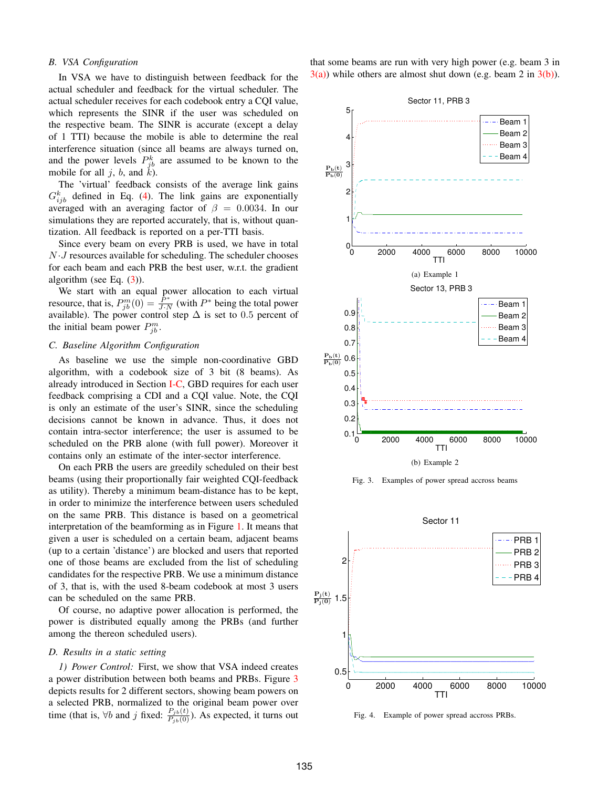## *B. VSA Configuration*

In VSA we have to distinguish between feedback for the actual scheduler and feedback for the virtual scheduler. The actual scheduler receives for each codebook entry a CQI value, which represents the SINR if the user was scheduled on the respective beam. The SINR is accurate (except a delay of 1 TTI) because the mobile is able to determine the real interference situation (since all beams are always turned on, and the power levels  $P_{jb}^k$  are assumed to be known to the mobile for all  $j$ ,  $b$ , and  $k$ ).

The 'virtual' feedback consists of the average link gains  $G_{ijb}^{k}$  defined in Eq. (4). The link gains are exponentially averaged with an averaging factor of  $\beta = 0.0034$ . In our simulations they are reported accurately, that is, without quantization. All feedback is reported on a per-TTI basis.

Since every beam on every PRB is used, we have in total  $N \cdot J$  resources available for scheduling. The scheduler chooses for each beam and each PRB the best user, w.r.t. the gradient algorithm (see Eq. (3)).

We start with an equal power allocation to each virtual resource, that is,  $P_{jb}^m(0) = \frac{P^*}{J \cdot N}$  (with  $P^*$  being the total power available). The power control step  $\Delta$  is set to 0.5 percent of the initial beam power  $P_{jb}^m$ .

# *C. Baseline Algorithm Configuration*

As baseline we use the simple non-coordinative GBD algorithm, with a codebook size of 3 bit (8 beams). As already introduced in Section I-C, GBD requires for each user feedback comprising a CDI and a CQI value. Note, the CQI is only an estimate of the user's SINR, since the scheduling decisions cannot be known in advance. Thus, it does not contain intra-sector interference; the user is assumed to be scheduled on the PRB alone (with full power). Moreover it contains only an estimate of the inter-sector interference.

On each PRB the users are greedily scheduled on their best beams (using their proportionally fair weighted CQI-feedback as utility). Thereby a minimum beam-distance has to be kept, in order to minimize the interference between users scheduled on the same PRB. This distance is based on a geometrical interpretation of the beamforming as in Figure 1. It means that given a user is scheduled on a certain beam, adjacent beams (up to a certain 'distance') are blocked and users that reported one of those beams are excluded from the list of scheduling candidates for the respective PRB. We use a minimum distance of 3, that is, with the used 8-beam codebook at most 3 users can be scheduled on the same PRB.

Of course, no adaptive power allocation is performed, the power is distributed equally among the PRBs (and further among the thereon scheduled users).

# *D. Results in a static setting*

*1) Power Control:* First, we show that VSA indeed creates a power distribution between both beams and PRBs. Figure 3 depicts results for 2 different sectors, showing beam powers on a selected PRB, normalized to the original beam power over time (that is,  $\forall b$  and j fixed:  $\frac{P_{jb}(t)}{P_{jb}(0)}$ ). As expected, it turns out that some beams are run with very high power (e.g. beam 3 in  $3(a)$ ) while others are almost shut down (e.g. beam 2 in  $3(b)$ ).



Fig. 3. Examples of power spread accross beams



Fig. 4. Example of power spread accross PRBs.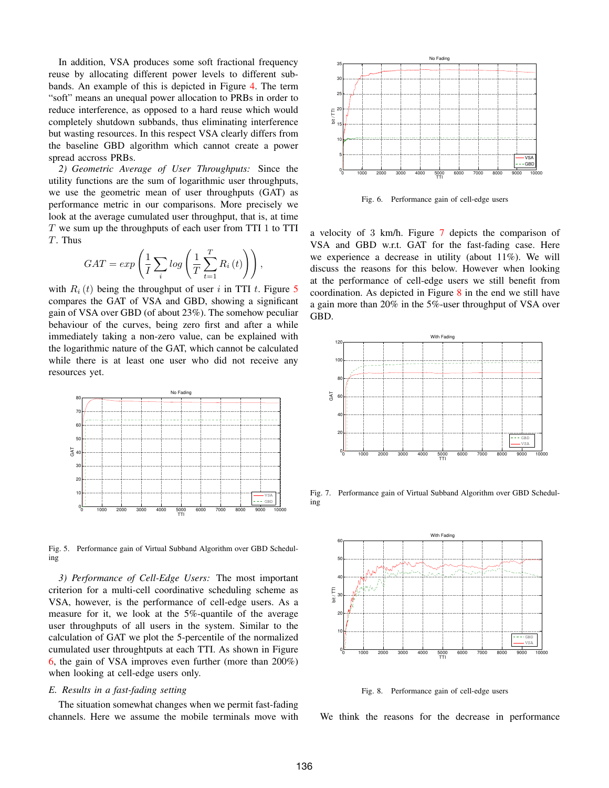In addition, VSA produces some soft fractional frequency reuse by allocating different power levels to different subbands. An example of this is depicted in Figure 4. The term "soft" means an unequal power allocation to PRBs in order to reduce interference, as opposed to a hard reuse which would completely shutdown subbands, thus eliminating interference but wasting resources. In this respect VSA clearly differs from the baseline GBD algorithm which cannot create a power spread accross PRBs.

*2) Geometric Average of User Throughputs:* Since the utility functions are the sum of logarithmic user throughputs, we use the geometric mean of user throughputs (GAT) as performance metric in our comparisons. More precisely we look at the average cumulated user throughput, that is, at time  $T$  we sum up the throughputs of each user from TTI 1 to TTI T. Thus

$$
GAT = exp\left(\frac{1}{I}\sum_{i}log\left(\frac{1}{T}\sum_{t=1}^{T}R_{i}\left(t\right)\right)\right),\,
$$

with  $R_i(t)$  being the throughput of user i in TTI t. Figure 5 compares the GAT of VSA and GBD, showing a significant gain of VSA over GBD (of about 23%). The somehow peculiar behaviour of the curves, being zero first and after a while immediately taking a non-zero value, can be explained with the logarithmic nature of the GAT, which cannot be calculated while there is at least one user who did not receive any resources yet.



Fig. 5. Performance gain of Virtual Subband Algorithm over GBD Scheduling

*3) Performance of Cell-Edge Users:* The most important criterion for a multi-cell coordinative scheduling scheme as VSA, however, is the performance of cell-edge users. As a measure for it, we look at the 5%-quantile of the average user throughputs of all users in the system. Similar to the calculation of GAT we plot the 5-percentile of the normalized cumulated user throughtputs at each TTI. As shown in Figure 6, the gain of VSA improves even further (more than 200%) when looking at cell-edge users only.

# *E. Results in a fast-fading setting*

The situation somewhat changes when we permit fast-fading channels. Here we assume the mobile terminals move with



Fig. 6. Performance gain of cell-edge users

a velocity of 3 km/h. Figure 7 depicts the comparison of VSA and GBD w.r.t. GAT for the fast-fading case. Here we experience a decrease in utility (about 11%). We will discuss the reasons for this below. However when looking at the performance of cell-edge users we still benefit from coordination. As depicted in Figure  $8$  in the end we still have a gain more than 20% in the 5%-user throughput of VSA over GBD.



Fig. 7. Performance gain of Virtual Subband Algorithm over GBD Scheduling



Fig. 8. Performance gain of cell-edge users

We think the reasons for the decrease in performance